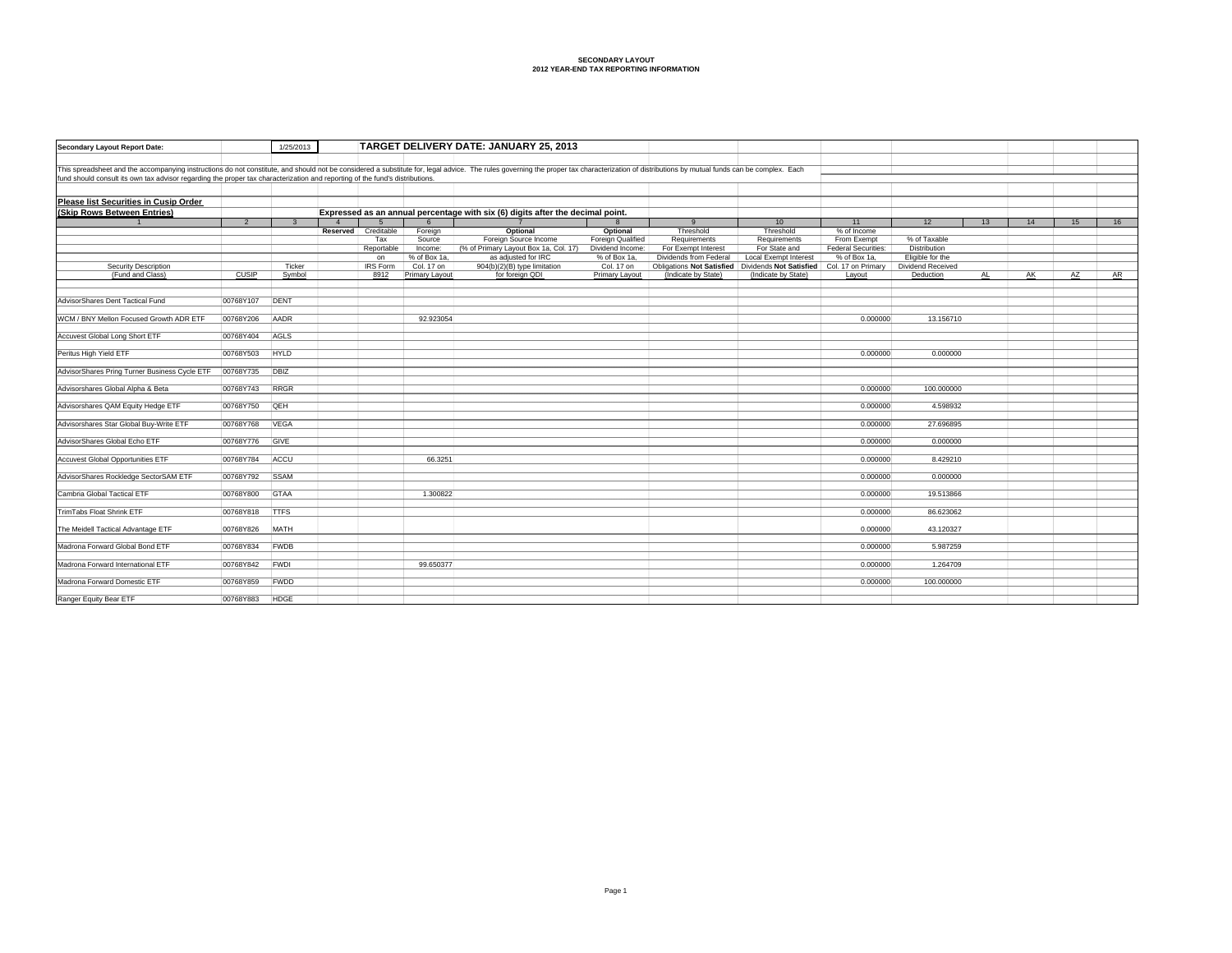| Secondary Layout Report Date:                                                                                                                                                                                                  |                | 1/25/2013    | TARGET DELIVERY DATE: JANUARY 25, 2013 |                       |                            |                                                                                |                            |                                                     |                                                                              |                     |                                         |    |    |    |    |
|--------------------------------------------------------------------------------------------------------------------------------------------------------------------------------------------------------------------------------|----------------|--------------|----------------------------------------|-----------------------|----------------------------|--------------------------------------------------------------------------------|----------------------------|-----------------------------------------------------|------------------------------------------------------------------------------|---------------------|-----------------------------------------|----|----|----|----|
|                                                                                                                                                                                                                                |                |              |                                        |                       |                            |                                                                                |                            |                                                     |                                                                              |                     |                                         |    |    |    |    |
| This spreadsheet and the accompanying instructions do not constitute, and should not be considered a substitute for, legal advice. The rules governing the proper tax characterization of distributions by mutual funds can be |                |              |                                        |                       |                            |                                                                                |                            |                                                     |                                                                              |                     |                                         |    |    |    |    |
| fund should consult its own tax advisor regarding the proper tax characterization and reporting of the fund's distributions.                                                                                                   |                |              |                                        |                       |                            |                                                                                |                            |                                                     |                                                                              |                     |                                         |    |    |    |    |
|                                                                                                                                                                                                                                |                |              |                                        |                       |                            |                                                                                |                            |                                                     |                                                                              |                     |                                         |    |    |    |    |
| Please list Securities in Cusip Order                                                                                                                                                                                          |                |              |                                        |                       |                            |                                                                                |                            |                                                     |                                                                              |                     |                                         |    |    |    |    |
| (Skip Rows Between Entries)                                                                                                                                                                                                    |                |              |                                        |                       |                            | Expressed as an annual percentage with six (6) digits after the decimal point. |                            |                                                     |                                                                              |                     |                                         |    |    |    |    |
|                                                                                                                                                                                                                                | $\overline{2}$ | $\mathbf{3}$ |                                        |                       |                            |                                                                                |                            | 9                                                   | 10                                                                           | 11                  | 12                                      | 13 | 14 | 15 | 16 |
|                                                                                                                                                                                                                                |                |              | Reserved                               | Creditable            | Foreign                    | Optional                                                                       | Optional                   | Threshold                                           | Threshold                                                                    | % of Income         |                                         |    |    |    |    |
|                                                                                                                                                                                                                                |                |              |                                        | Tax                   | Source                     | Foreign Source Income                                                          | Foreign Qualified          | Requirements                                        | Requirements                                                                 | From Exempt         | % of Taxable                            |    |    |    |    |
|                                                                                                                                                                                                                                |                |              |                                        | Reportable            | Income:                    | (% of Primary Layout Box 1a, Col. 17)<br>as adjusted for IRC                   | Dividend Income:           | For Exempt Interest                                 | For State and                                                                | Federal Securities: | <b>Distribution</b><br>Eligible for the |    |    |    |    |
| <b>Security Description</b>                                                                                                                                                                                                    |                | Ticker       |                                        | on<br><b>IRS Form</b> | % of Box 1a.<br>Col. 17 on | 904(b)(2)(B) type limitation                                                   | % of Box 1a,<br>Col. 17 on | Dividends from Federal<br>Obligations Not Satisfied | <b>Local Exempt Interest</b><br>Dividends Not Satisfied   Col. 17 on Primary | % of Box 1a,        | Dividend Received                       |    |    |    |    |
| (Fund and Class)                                                                                                                                                                                                               | CUSIP          | Symbol       |                                        | 8912                  | Primary Layout             | for foreign QDI                                                                | Primary Layout             | (Indicate by State)                                 | (Indicate by State)                                                          | Layout              | Deduction                               | AL | AK | AZ | AR |
|                                                                                                                                                                                                                                |                |              |                                        |                       |                            |                                                                                |                            |                                                     |                                                                              |                     |                                         |    |    |    |    |
|                                                                                                                                                                                                                                |                |              |                                        |                       |                            |                                                                                |                            |                                                     |                                                                              |                     |                                         |    |    |    |    |
| AdvisorShares Dent Tactical Fund                                                                                                                                                                                               | 00768Y107      | DENT         |                                        |                       |                            |                                                                                |                            |                                                     |                                                                              |                     |                                         |    |    |    |    |
|                                                                                                                                                                                                                                |                |              |                                        |                       |                            |                                                                                |                            |                                                     |                                                                              |                     |                                         |    |    |    |    |
| WCM / BNY Mellon Focused Growth ADR ETF                                                                                                                                                                                        | 00768Y206      | <b>AADR</b>  |                                        |                       | 92.923054                  |                                                                                |                            |                                                     |                                                                              | 0.000000            | 13,156710                               |    |    |    |    |
| Accuvest Global Long Short ETF                                                                                                                                                                                                 | 00768Y404      | AGLS         |                                        |                       |                            |                                                                                |                            |                                                     |                                                                              |                     |                                         |    |    |    |    |
|                                                                                                                                                                                                                                |                |              |                                        |                       |                            |                                                                                |                            |                                                     |                                                                              |                     |                                         |    |    |    |    |
| Peritus High Yield ETF                                                                                                                                                                                                         | 00768Y503      | HYLD         |                                        |                       |                            |                                                                                |                            |                                                     |                                                                              | 0.000000            | 0.000000                                |    |    |    |    |
|                                                                                                                                                                                                                                |                |              |                                        |                       |                            |                                                                                |                            |                                                     |                                                                              |                     |                                         |    |    |    |    |
| AdvisorShares Pring Turner Business Cycle ETF                                                                                                                                                                                  | 00768Y735      | DBIZ         |                                        |                       |                            |                                                                                |                            |                                                     |                                                                              |                     |                                         |    |    |    |    |
|                                                                                                                                                                                                                                |                |              |                                        |                       |                            |                                                                                |                            |                                                     |                                                                              |                     |                                         |    |    |    |    |
| Advisorshares Global Alpha & Beta                                                                                                                                                                                              | 00768Y743      | RRGR         |                                        |                       |                            |                                                                                |                            |                                                     |                                                                              | 0.000000            | 100,000000                              |    |    |    |    |
| Advisorshares QAM Equity Hedge ETF                                                                                                                                                                                             | 00768Y750      | <b>QEH</b>   |                                        |                       |                            |                                                                                |                            |                                                     |                                                                              | 0.000000            | 4.598932                                |    |    |    |    |
|                                                                                                                                                                                                                                |                |              |                                        |                       |                            |                                                                                |                            |                                                     |                                                                              |                     |                                         |    |    |    |    |
| Advisorshares Star Global Buy-Write ETF                                                                                                                                                                                        | 00768Y768      | <b>VEGA</b>  |                                        |                       |                            |                                                                                |                            |                                                     |                                                                              | 0.000000            | 27.696895                               |    |    |    |    |
|                                                                                                                                                                                                                                |                |              |                                        |                       |                            |                                                                                |                            |                                                     |                                                                              |                     |                                         |    |    |    |    |
| AdvisorShares Global Echo ETF                                                                                                                                                                                                  | 00768Y776      | GIVE         |                                        |                       |                            |                                                                                |                            |                                                     |                                                                              | 0.000000            | 0.000000                                |    |    |    |    |
|                                                                                                                                                                                                                                |                |              |                                        |                       |                            |                                                                                |                            |                                                     |                                                                              |                     |                                         |    |    |    |    |
| <b>Accuvest Global Opportunities ETF</b>                                                                                                                                                                                       | 00768Y784      | ACCU         |                                        |                       | 66,3251                    |                                                                                |                            |                                                     |                                                                              | 0.000000            | 8.429210                                |    |    |    |    |
| AdvisorShares Rockledge SectorSAM ETF                                                                                                                                                                                          | 00768Y792      | <b>SSAM</b>  |                                        |                       |                            |                                                                                |                            |                                                     |                                                                              | 0.000000            | 0.000000                                |    |    |    |    |
|                                                                                                                                                                                                                                |                |              |                                        |                       |                            |                                                                                |                            |                                                     |                                                                              |                     |                                         |    |    |    |    |
| Cambria Global Tactical ETF                                                                                                                                                                                                    | 00768Y800      | GTAA         |                                        |                       | 1.300822                   |                                                                                |                            |                                                     |                                                                              | 0.000000            | 19.513866                               |    |    |    |    |
|                                                                                                                                                                                                                                |                |              |                                        |                       |                            |                                                                                |                            |                                                     |                                                                              |                     |                                         |    |    |    |    |
| TrimTabs Float Shrink ETF                                                                                                                                                                                                      | 00768Y818      | <b>ITTFS</b> |                                        |                       |                            |                                                                                |                            |                                                     |                                                                              | 0.000000            | 86,623062                               |    |    |    |    |
|                                                                                                                                                                                                                                |                |              |                                        |                       |                            |                                                                                |                            |                                                     |                                                                              |                     |                                         |    |    |    |    |
| The Meidell Tactical Advantage ETF                                                                                                                                                                                             | 00768Y826      | <b>MATH</b>  |                                        |                       |                            |                                                                                |                            |                                                     |                                                                              | 0.000000            | 43.120327                               |    |    |    |    |
| Madrona Forward Global Bond ETF                                                                                                                                                                                                | 00768Y834      | <b>FWDB</b>  |                                        |                       |                            |                                                                                |                            |                                                     |                                                                              | 0.000000            | 5.987259                                |    |    |    |    |
|                                                                                                                                                                                                                                |                |              |                                        |                       |                            |                                                                                |                            |                                                     |                                                                              |                     |                                         |    |    |    |    |
| Madrona Forward International ETF                                                                                                                                                                                              | 00768Y842      | FWDI         |                                        |                       | 99.650377                  |                                                                                |                            |                                                     |                                                                              | 0.000000            | 1.264709                                |    |    |    |    |
|                                                                                                                                                                                                                                |                |              |                                        |                       |                            |                                                                                |                            |                                                     |                                                                              |                     |                                         |    |    |    |    |
| Madrona Forward Domestic ETF                                                                                                                                                                                                   | 00768Y859      | FWDD         |                                        |                       |                            |                                                                                |                            |                                                     |                                                                              | 0.000000            | 100.000000                              |    |    |    |    |
| Ranger Equity Bear ETF                                                                                                                                                                                                         | 00768Y883      | <b>HDGE</b>  |                                        |                       |                            |                                                                                |                            |                                                     |                                                                              |                     |                                         |    |    |    |    |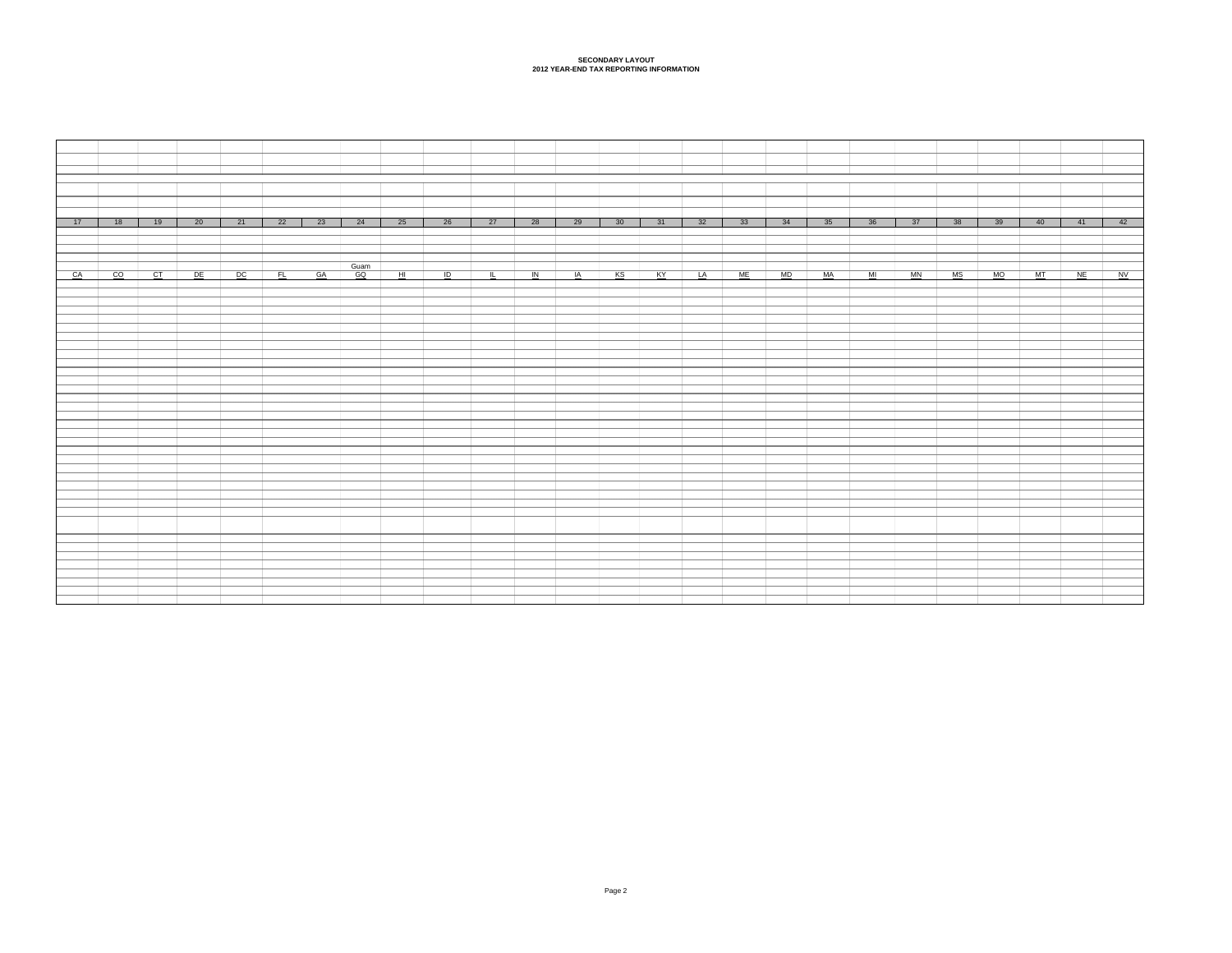| 26 27 28 29 30 31 32 33 34 35<br>21 22 23 24 25<br>17<br>18<br>$\frac{19}{2}$<br>20 | 36 37<br>40<br>$-41$<br>42<br>38<br>39 |
|-------------------------------------------------------------------------------------|----------------------------------------|
|                                                                                     |                                        |
|                                                                                     |                                        |
| Guam                                                                                |                                        |
| <u>CACO CTIDE DO FLIGAGO HIIDI IN IAKS KYILAIME MD IMA MI MA MO MT NEINV</u>        |                                        |
|                                                                                     |                                        |
|                                                                                     |                                        |
|                                                                                     |                                        |
|                                                                                     |                                        |
|                                                                                     |                                        |
|                                                                                     |                                        |
|                                                                                     |                                        |
|                                                                                     |                                        |
|                                                                                     |                                        |
|                                                                                     |                                        |
|                                                                                     |                                        |
|                                                                                     |                                        |
|                                                                                     |                                        |
|                                                                                     |                                        |
|                                                                                     |                                        |
|                                                                                     |                                        |
|                                                                                     |                                        |
|                                                                                     |                                        |
|                                                                                     |                                        |
|                                                                                     |                                        |
|                                                                                     |                                        |
|                                                                                     |                                        |
|                                                                                     |                                        |
|                                                                                     |                                        |
|                                                                                     |                                        |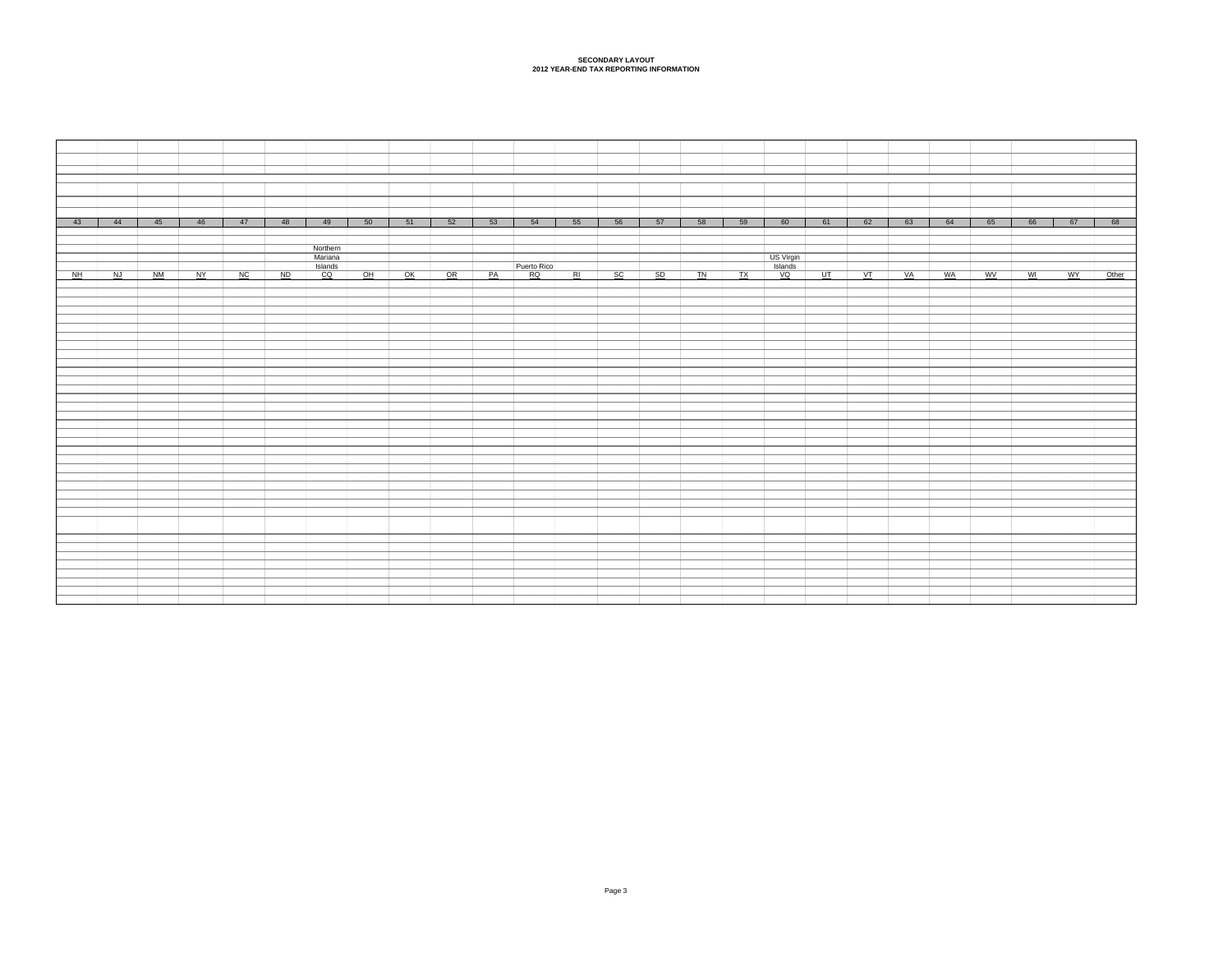| $-43$ | 44    | 45    | 46 | 47 | 48             | 49       | 50 | $-51$           | 52              | 53 | 54          | 55 | 56 | 57 | 58 | 59 | 60                   | 61   | 62    | 63 | 64        | 65        | 66 | 67   | 68    |
|-------|-------|-------|----|----|----------------|----------|----|-----------------|-----------------|----|-------------|----|----|----|----|----|----------------------|------|-------|----|-----------|-----------|----|------|-------|
|       |       |       |    |    |                |          |    |                 |                 |    |             |    |    |    |    |    |                      |      |       |    |           |           |    |      |       |
|       |       |       |    |    |                |          |    |                 |                 |    |             |    |    |    |    |    |                      |      |       |    |           |           |    |      |       |
|       |       |       |    |    |                | Northern |    |                 |                 |    |             |    |    |    |    |    |                      |      |       |    |           |           |    |      |       |
|       |       |       |    |    |                | Mariana  |    |                 |                 |    |             |    |    |    |    |    | US Virgin<br>Islands |      |       |    |           |           |    |      |       |
|       |       |       |    |    |                | Islands  |    |                 |                 |    | Puerto Rico |    |    |    |    |    |                      |      |       |    |           |           |    |      |       |
|       | NH NJ | $N$ M | NY | NC | N <sub>D</sub> | CQ       | OH | $\overline{OK}$ | $\overline{OR}$ | PA | RQ          | RI | SC | SD | TN | TX | $\sqrt{Q}$           | UT . | $V$ T | VA | <b>WA</b> | <b>WV</b> | WI | WY \ | Other |
|       |       |       |    |    |                |          |    |                 |                 |    |             |    |    |    |    |    |                      |      |       |    |           |           |    |      |       |
|       |       |       |    |    |                |          |    |                 |                 |    |             |    |    |    |    |    |                      |      |       |    |           |           |    |      |       |
|       |       |       |    |    |                |          |    |                 |                 |    |             |    |    |    |    |    |                      |      |       |    |           |           |    |      |       |
|       |       |       |    |    |                |          |    |                 |                 |    |             |    |    |    |    |    |                      |      |       |    |           |           |    |      |       |
|       |       |       |    |    |                |          |    |                 |                 |    |             |    |    |    |    |    |                      |      |       |    |           |           |    |      |       |
|       |       |       |    |    |                |          |    |                 |                 |    |             |    |    |    |    |    |                      |      |       |    |           |           |    |      |       |
|       |       |       |    |    |                |          |    |                 |                 |    |             |    |    |    |    |    |                      |      |       |    |           |           |    |      |       |
|       |       |       |    |    |                |          |    |                 |                 |    |             |    |    |    |    |    |                      |      |       |    |           |           |    |      |       |
|       |       |       |    |    |                |          |    |                 |                 |    |             |    |    |    |    |    |                      |      |       |    |           |           |    |      |       |
|       |       |       |    |    |                |          |    |                 |                 |    |             |    |    |    |    |    |                      |      |       |    |           |           |    |      |       |
|       |       |       |    |    |                |          |    |                 |                 |    |             |    |    |    |    |    |                      |      |       |    |           |           |    |      |       |
|       |       |       |    |    |                |          |    |                 |                 |    |             |    |    |    |    |    |                      |      |       |    |           |           |    |      |       |
|       |       |       |    |    |                |          |    |                 |                 |    |             |    |    |    |    |    |                      |      |       |    |           |           |    |      |       |
|       |       |       |    |    |                |          |    |                 |                 |    |             |    |    |    |    |    |                      |      |       |    |           |           |    |      |       |
|       |       |       |    |    |                |          |    |                 |                 |    |             |    |    |    |    |    |                      |      |       |    |           |           |    |      |       |
|       |       |       |    |    |                |          |    |                 |                 |    |             |    |    |    |    |    |                      |      |       |    |           |           |    |      |       |
|       |       |       |    |    |                |          |    |                 |                 |    |             |    |    |    |    |    |                      |      |       |    |           |           |    |      |       |
|       |       |       |    |    |                |          |    |                 |                 |    |             |    |    |    |    |    |                      |      |       |    |           |           |    |      |       |
|       |       |       |    |    |                |          |    |                 |                 |    |             |    |    |    |    |    |                      |      |       |    |           |           |    |      |       |
|       |       |       |    |    |                |          |    |                 |                 |    |             |    |    |    |    |    |                      |      |       |    |           |           |    |      |       |
|       |       |       |    |    |                |          |    |                 |                 |    |             |    |    |    |    |    |                      |      |       |    |           |           |    |      |       |
|       |       |       |    |    |                |          |    |                 |                 |    |             |    |    |    |    |    |                      |      |       |    |           |           |    |      |       |
|       |       |       |    |    |                |          |    |                 |                 |    |             |    |    |    |    |    |                      |      |       |    |           |           |    |      |       |
|       |       |       |    |    |                |          |    |                 |                 |    |             |    |    |    |    |    |                      |      |       |    |           |           |    |      |       |
|       |       |       |    |    |                |          |    |                 |                 |    |             |    |    |    |    |    |                      |      |       |    |           |           |    |      |       |
|       |       |       |    |    |                |          |    |                 |                 |    |             |    |    |    |    |    |                      |      |       |    |           |           |    |      |       |
|       |       |       |    |    |                |          |    |                 |                 |    |             |    |    |    |    |    |                      |      |       |    |           |           |    |      |       |
|       |       |       |    |    |                |          |    |                 |                 |    |             |    |    |    |    |    |                      |      |       |    |           |           |    |      |       |
|       |       |       |    |    |                |          |    |                 |                 |    |             |    |    |    |    |    |                      |      |       |    |           |           |    |      |       |
|       |       |       |    |    |                |          |    |                 |                 |    |             |    |    |    |    |    |                      |      |       |    |           |           |    |      |       |
|       |       |       |    |    |                |          |    |                 |                 |    |             |    |    |    |    |    |                      |      |       |    |           |           |    |      |       |
|       |       |       |    |    |                |          |    |                 |                 |    |             |    |    |    |    |    |                      |      |       |    |           |           |    |      |       |
|       |       |       |    |    |                |          |    |                 |                 |    |             |    |    |    |    |    |                      |      |       |    |           |           |    |      |       |
|       |       |       |    |    |                |          |    |                 |                 |    |             |    |    |    |    |    |                      |      |       |    |           |           |    |      |       |